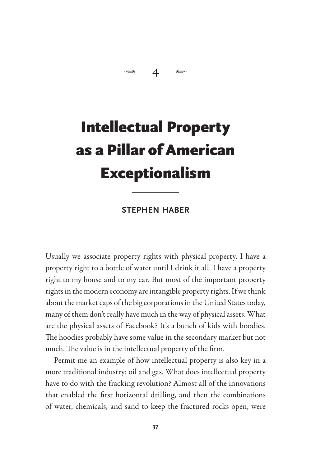$\leftarrow$  $4$ 

# Intellectual Property as a Pillar of American Exceptionalism

**STEPHEN HABER**

Usually we associate property rights with physical property. I have a property right to a bottle of water until I drink it all. I have a property right to my house and to my car. But most of the important property rights in the modern economy are intangible property rights. If we think about the market caps of the big corporations in the United States today, many of them don't really have much in the way of physical assets. What are the physical assets of Facebook? It's a bunch of kids with hoodies. The hoodies probably have some value in the secondary market but not much. The value is in the intellectual property of the firm.

Permit me an example of how intellectual property is also key in a more traditional industry: oil and gas. What does intellectual property have to do with the fracking revolution? Almost all of the innovations that enabled the first horizontal drilling, and then the combinations of water, chemicals, and sand to keep the fractured rocks open, were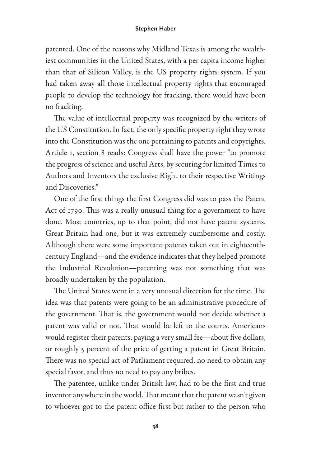patented. One of the reasons why Midland Texas is among the wealthiest communities in the United States, with a per capita income higher than that of Silicon Valley, is the US property rights system. If you had taken away all those intellectual property rights that encouraged people to develop the technology for fracking, there would have been no fracking.

The value of intellectual property was recognized by the writers of the US Constitution. In fact, the only specific property right they wrote into the Constitution was the one pertaining to patents and copyrights. Article 1, section 8 reads: Congress shall have the power "to promote the progress of science and useful Arts, by securing for limited Times to Authors and Inventors the exclusive Right to their respective Writings and Discoveries."

One of the first things the first Congress did was to pass the Patent Act of 1790. This was a really unusual thing for a government to have done. Most countries, up to that point, did not have patent systems. Great Britain had one, but it was extremely cumbersome and costly. Although there were some important patents taken out in eighteenthcentury England—and the evidence indicates that they helped promote the Industrial Revolution—patenting was not something that was broadly undertaken by the population.

The United States went in a very unusual direction for the time. The idea was that patents were going to be an administrative procedure of the government. That is, the government would not decide whether a patent was valid or not. That would be left to the courts. Americans would register their patents, paying a very small fee—about five dollars, or roughly 5 percent of the price of getting a patent in Great Britain. There was no special act of Parliament required, no need to obtain any special favor, and thus no need to pay any bribes.

The patentee, unlike under British law, had to be the first and true inventor anywhere in the world. That meant that the patent wasn't given to whoever got to the patent office first but rather to the person who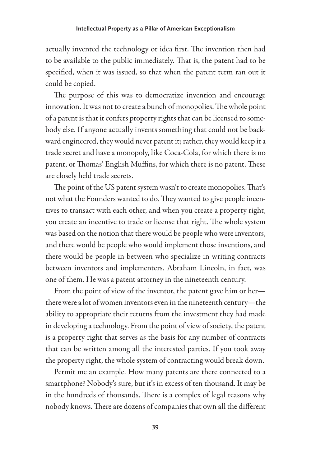actually invented the technology or idea first. The invention then had to be available to the public immediately. That is, the patent had to be specified, when it was issued, so that when the patent term ran out it could be copied.

The purpose of this was to democratize invention and encourage innovation. It was not to create a bunch of monopolies. The whole point of a patent is that it confers property rights that can be licensed to somebody else. If anyone actually invents something that could not be backward engineered, they would never patent it; rather, they would keep it a trade secret and have a monopoly, like Coca- Cola, for which there is no patent, or Thomas' English Muffins, for which there is no patent. These are closely held trade secrets.

The point of the US patent system wasn't to create monopolies. That's not what the Founders wanted to do. They wanted to give people incentives to transact with each other, and when you create a property right, you create an incentive to trade or license that right. The whole system was based on the notion that there would be people who were inventors, and there would be people who would implement those inventions, and there would be people in between who specialize in writing contracts between inventors and implementers. Abraham Lincoln, in fact, was one of them. He was a patent attorney in the nineteenth century.

From the point of view of the inventor, the patent gave him or her there were a lot of women inventors even in the nineteenth century—the ability to appropriate their returns from the investment they had made in developing a technology. From the point of view of society, the patent is a property right that serves as the basis for any number of contracts that can be written among all the interested parties. If you took away the property right, the whole system of contracting would break down.

Permit me an example. How many patents are there connected to a smartphone? Nobody's sure, but it's in excess of ten thousand. It may be in the hundreds of thousands. There is a complex of legal reasons why nobody knows. There are dozens of companies that own all the different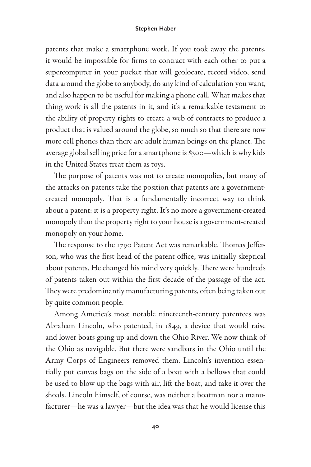patents that make a smartphone work. If you took away the patents, it would be impossible for firms to contract with each other to put a supercomputer in your pocket that will geolocate, record video, send data around the globe to anybody, do any kind of calculation you want, and also happen to be useful for making a phone call. What makes that thing work is all the patents in it, and it's a remarkable testament to the ability of property rights to create a web of contracts to produce a product that is valued around the globe, so much so that there are now more cell phones than there are adult human beings on the planet. The average global selling price for a smartphone is \$300—which is why kids in the United States treat them as toys.

The purpose of patents was not to create monopolies, but many of the attacks on patents take the position that patents are a governmentcreated monopoly. That is a fundamentally incorrect way to think about a patent: it is a property right. It's no more a government-created monopoly than the property right to your house is a government- created monopoly on your home.

The response to the 1790 Patent Act was remarkable. Thomas Jefferson, who was the first head of the patent office, was initially skeptical about patents. He changed his mind very quickly. There were hundreds of patents taken out within the first decade of the passage of the act. They were predominantly manufacturing patents, often being taken out by quite common people.

Among America's most notable nineteenth- century patentees was Abraham Lincoln, who patented, in 1849, a device that would raise and lower boats going up and down the Ohio River. We now think of the Ohio as navigable. But there were sandbars in the Ohio until the Army Corps of Engineers removed them. Lincoln's invention essentially put canvas bags on the side of a boat with a bellows that could be used to blow up the bags with air, lift the boat, and take it over the shoals. Lincoln himself, of course, was neither a boatman nor a manufacturer—he was a lawyer—but the idea was that he would license this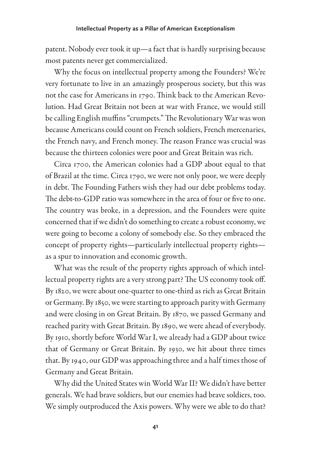patent. Nobody ever took it up—a fact that is hardly surprising because most patents never get commercialized.

Why the focus on intellectual property among the Founders? We're very fortunate to live in an amazingly prosperous society, but this was not the case for Americans in 1790. Think back to the American Revolution. Had Great Britain not been at war with France, we would still be calling English muffins "crumpets." The Revolutionary War was won because Americans could count on French soldiers, French mercenaries, the French navy, and French money. The reason France was crucial was because the thirteen colonies were poor and Great Britain was rich.

Circa 1700, the American colonies had a GDP about equal to that of Brazil at the time. Circa 1790, we were not only poor, we were deeply in debt. The Founding Fathers wish they had our debt problems today. The debt-to-GDP ratio was somewhere in the area of four or five to one. The country was broke, in a depression, and the Founders were quite concerned that if we didn't do something to create a robust economy, we were going to become a colony of somebody else. So they embraced the concept of property rights—particularly intellectual property rights as a spur to innovation and economic growth.

What was the result of the property rights approach of which intellectual property rights are a very strong part? The US economy took off. By 1820, we were about one-quarter to one-third as rich as Great Britain or Germany. By 1850, we were starting to approach parity with Germany and were closing in on Great Britain. By 1870, we passed Germany and reached parity with Great Britain. By 1890, we were ahead of everybody. By 1910, shortly before World War I, we already had a GDP about twice that of Germany or Great Britain. By 1930, we hit about three times that. By 1940, our GDP was approaching three and a half times those of Germany and Great Britain.

Why did the United States win World War II? We didn't have better generals. We had brave soldiers, but our enemies had brave soldiers, too. We simply outproduced the Axis powers. Why were we able to do that?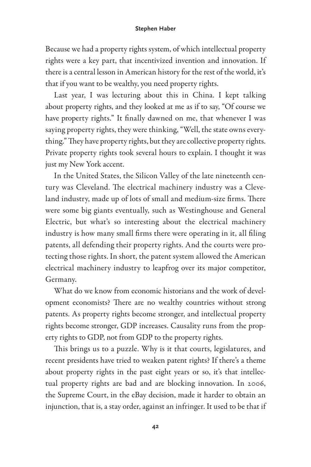Because we had a property rights system, of which intellectual property rights were a key part, that incentivized invention and innovation. If there is a central lesson in American history for the rest of the world, it's that if you want to be wealthy, you need property rights.

Last year, I was lecturing about this in China. I kept talking about property rights, and they looked at me as if to say, "Of course we have property rights." It finally dawned on me, that whenever I was saying property rights, they were thinking, "Well, the state owns everything." They have property rights, but they are collective property rights. Private property rights took several hours to explain. I thought it was just my New York accent.

In the United States, the Silicon Valley of the late nineteenth century was Cleveland. The electrical machinery industry was a Cleveland industry, made up of lots of small and medium-size firms. There were some big giants eventually, such as Westinghouse and General Electric, but what's so interesting about the electrical machinery industry is how many small firms there were operating in it, all filing patents, all defending their property rights. And the courts were protecting those rights. In short, the patent system allowed the American electrical machinery industry to leapfrog over its major competitor, Germany.

What do we know from economic historians and the work of development economists? There are no wealthy countries without strong patents. As property rights become stronger, and intellectual property rights become stronger, GDP increases. Causality runs from the property rights to GDP, not from GDP to the property rights.

This brings us to a puzzle. Why is it that courts, legislatures, and recent presidents have tried to weaken patent rights? If there's a theme about property rights in the past eight years or so, it's that intellectual property rights are bad and are blocking innovation. In 2006, the Supreme Court, in the eBay decision, made it harder to obtain an injunction, that is, a stay order, against an infringer. It used to be that if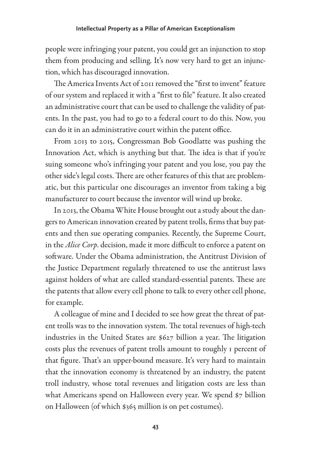people were infringing your patent, you could get an injunction to stop them from producing and selling. It's now very hard to get an injunction, which has discouraged innovation.

The America Invents Act of 2011 removed the "first to invent" feature of our system and replaced it with a "first to file" feature. It also created an administrative court that can be used to challenge the validity of patents. In the past, you had to go to a federal court to do this. Now, you can do it in an administrative court within the patent office.

From 2013 to 2015, Congressman Bob Goodlatte was pushing the Innovation Act, which is anything but that. The idea is that if you're suing someone who's infringing your patent and you lose, you pay the other side's legal costs. There are other features of this that are problematic, but this particular one discourages an inventor from taking a big manufacturer to court because the inventor will wind up broke.

In 2013, the Obama White House brought out a study about the dangers to American innovation created by patent trolls, firms that buy patents and then sue operating companies. Recently, the Supreme Court, in the *Alice Corp*. decision, made it more difficult to enforce a patent on soft ware. Under the Obama administration, the Antitrust Division of the Justice Department regularly threatened to use the antitrust laws against holders of what are called standard-essential patents. These are the patents that allow every cell phone to talk to every other cell phone, for example.

A colleague of mine and I decided to see how great the threat of patent trolls was to the innovation system. The total revenues of high-tech industries in the United States are \$627 billion a year. The litigation costs plus the revenues of patent trolls amount to roughly 1 percent of that figure. That's an upper-bound measure. It's very hard to maintain that the innovation economy is threatened by an industry, the patent troll industry, whose total revenues and litigation costs are less than what Americans spend on Halloween every year. We spend \$7 billion on Halloween (of which \$365 million is on pet costumes).